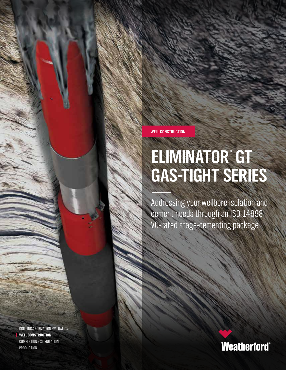**WELL CONSTRUCTION**

# **ELIMINATOR™ GT GAS-TIGHT SERIES**

Addressing your wellbore isolation and cement needs through an ISO 14998 V0-rated stage-cementing package

DRILLING & FORMATION EVALUATION **WELL CONSTRUCTION** COMPLETION & STIMULATION **PRODUCTION** 

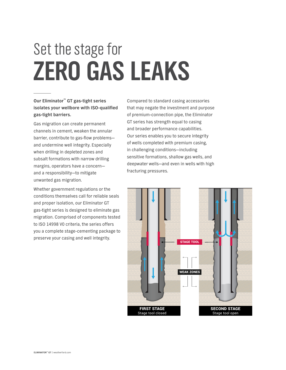# Set the stage for **ZERO GAS LEAKS**

**Our Eliminator™ GT gas-tight series isolates your wellbore with ISO-qualified gas-tight barriers.**

Gas migration can create permanent channels in cement, weaken the annular barrier, contribute to gas-flow problems and undermine well integrity. Especially when drilling in depleted zones and subsalt formations with narrow drilling margins, operators have a concern and a responsibility—to mitigate unwanted gas migration.

Whether government regulations or the conditions themselves call for reliable seals and proper isolation, our Eliminator GT gas-tight series is designed to eliminate gas migration. Comprised of components tested to ISO 14998 V0 criteria, the series offers you a complete stage-cementing package to preserve your casing and well integrity.

Compared to standard casing accessories that may negate the investment and purpose of premium-connection pipe, the Eliminator GT series has strength equal to casing and broader performance capabilities. Our series enables you to secure integrity of wells completed with premium casing, in challenging conditions—including sensitive formations, shallow gas wells, and deepwater wells—and even in wells with high fracturing pressures.

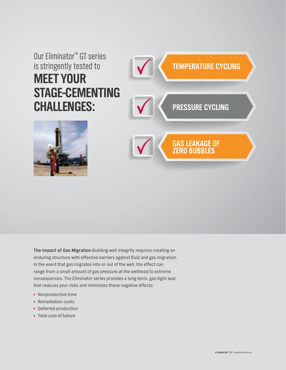# Our Eliminator™ GT series is stringently tested to **MEET YOUR STAGE-CEMENTING CHALLENGES:**





**The Impact of Gas Migration** Building well integrity requires creating an enduring structure with effective barriers against fluid and gas migration. In the event that gas migrates into or out of the well, the effect can range from a small amount of gas pressure at the wellhead to extreme consequences. The Eliminator series provides a long-term, gas-tight seal that reduces your risks and minimizes these negative effects:

- Nonproductive time
- Remediation costs
- Deferred production
- Total cost of failure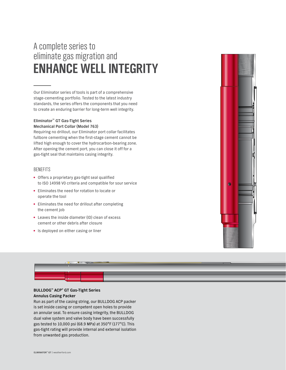# A complete series to eliminate gas migration and **ENHANCE WELL INTEGRITY**

Our Eliminator series of tools is part of a comprehensive stage-cementing portfolio. Tested to the latest industry standards, the series offers the components that you need to create an enduring barrier for long-term well integrity.

### **Eliminator™ GT Gas-Tight Series Mechanical Port Collar (Model 763)**

Requiring no drillout, our Eliminator port collar facilitates fullbore cementing when the first-stage cement cannot be lifted high enough to cover the hydrocarbon-bearing zone. After opening the cement port, you can close it off for a gas-tight seal that maintains casing integrity.

## BENEFITS

- Offers a proprietary gas-tight seal qualified to ISO 14998 V0 criteria and compatible for sour service
- Eliminates the need for rotation to locate or operate the tool
- Eliminates the need for drillout after completing the cement job
- Leaves the inside diameter (ID) clean of excess cement or other debris after closure
- Is deployed on either casing or liner



### **BULLDOG™ ACP® GT Gas-Tight Series Annulus Casing Packer**

Run as part of the casing string, our BULLDOG ACP packer is set inside casing or competent open holes to provide an annular seal. To ensure casing integrity, the BULLDOG dual valve system and valve body have been successfully gas tested to 10,000 psi (68.9 MPa) at 350°F (177°C). This gas-tight rating will provide internal and external isolation from unwanted gas production.

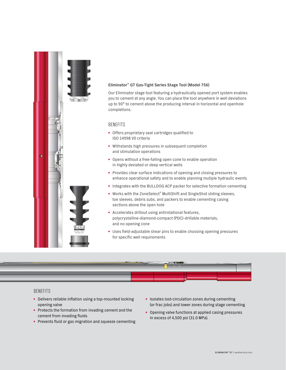

### **Eliminator™ GT Gas-Tight Series Stage Tool (Model 756)**

Our Eliminator stage tool featuring a hydraulically opened port system enables you to cement at any angle. You can place the tool anywhere in well deviations up to 90° to cement above the producing interval in horizontal and openhole completions.

### **BENFFITS**

- Offers proprietary seal cartridges qualified to ISO 14998 V0 criteria
- Withstands high pressures in subsequent completion and stimulation operations
- Opens without a free-falling open cone to enable operation in highly deviated or deep vertical wells
- Provides clear surface indications of opening and closing pressures to enhance operational safety and to enable planning mutiple hydraulic events
- Integrates with the BULLDOG ACP packer for selective formation cementing
- Works with the ZoneSelect® MultiShift and SingleShot sliding sleeves, toe sleeves, debris subs, and packers to enable cementing casing sections above the open hole
- Accelerates drillout using antirotational features, polycrystalline-diamond-compact (PDC)-drillable materials, and no opening cone
- Uses field-adjustable shear pins to enable choosing opening pressures for specific well requirements



## BENEFITS

- Delivers reliable inflation using a top-mounted locking opening valve
- Protects the formation from invading cement and the cement from invading fluids
- Prevents fluid or gas migration and squeeze cementing
- Isolates lost-circulation zones during cementing (or frac jobs) and lower zones during stage cementing
- Opening valve functions at applied casing pressures in excess of 4,500 psi (31.0 MPa).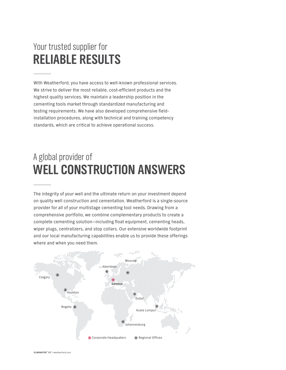# Your trusted supplier for **RELIABLE RESULTS**

With Weatherford, you have access to well-known professional services. We strive to deliver the most reliable, cost-efficient products and the highest quality services. We maintain a leadership position in the cementing tools market through standardized manufacturing and testing requirements. We have also developed comprehensive fieldinstallation procedures, along with technical and training competency standards, which are critical to achieve operational success.

# A global provider of **WELL CONSTRUCTION ANSWERS**

The integrity of your well and the ultimate return on your investment depend on quality well construction and cementation. Weatherford is a single-source provider for all of your multistage cementing tool needs. Drawing from a comprehensive portfolio, we combine complementary products to create a complete cementing solution—including float equipment, cementing heads, wiper plugs, centralizers, and stop collars. Our extensive worldwide footprint and our local manufacturing capabilities enable us to provide these offerings where and when you need them.

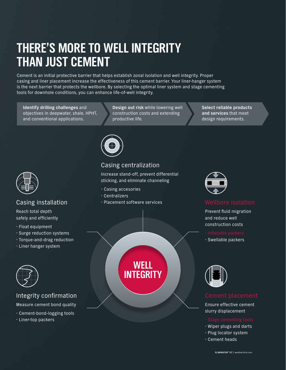# **THERE'S MORE TO WELL INTEGRITY THAN JUST CEMENT**

Cement is an initial protective barrier that helps establish zonal isolation and well integrity. Proper casing and liner placement increase the effectiveness of this cement barrier. Your liner-hanger system is the next barrier that protects the wellbore. By selecting the optimal liner system and stage cementing tools for downhole conditions, you can enhance life-of-well integrity.

**Identify drilling challenges** and objectives in deepwater, shale, HPHT, and conventional applications.

**Design out risk** while lowering well construction costs and extending productive life.

**Select reliable products and services** that meet design requirements.



# Casing installation

Reach total depth safely and efficiently

- $\cdot$  Float equipment
- $\cdot$  Surge reduction systems
- $\cdot$  Torque-and-drag reduction
- $\cdot$  Liner hanger system



## Integrity confirmation

Measure cement bond quality

- $\cdot$  Cement-bond-logging tools
- $\cdot$  Liner-top packers



- x Centralizers
- x Placement software services

Casing centralization

Increase stand-off, prevent differential sticking, and eliminate channeling

> **WELL INTEGRITY**



Prevent fluid migration and reduce well construction costs

 $\cdot$  Swellable packers



Ensure effective cement slurry displacement

- $\cdot$  Wiper plugs and darts
- x Plug locator system
- $\cdot$  Cement heads